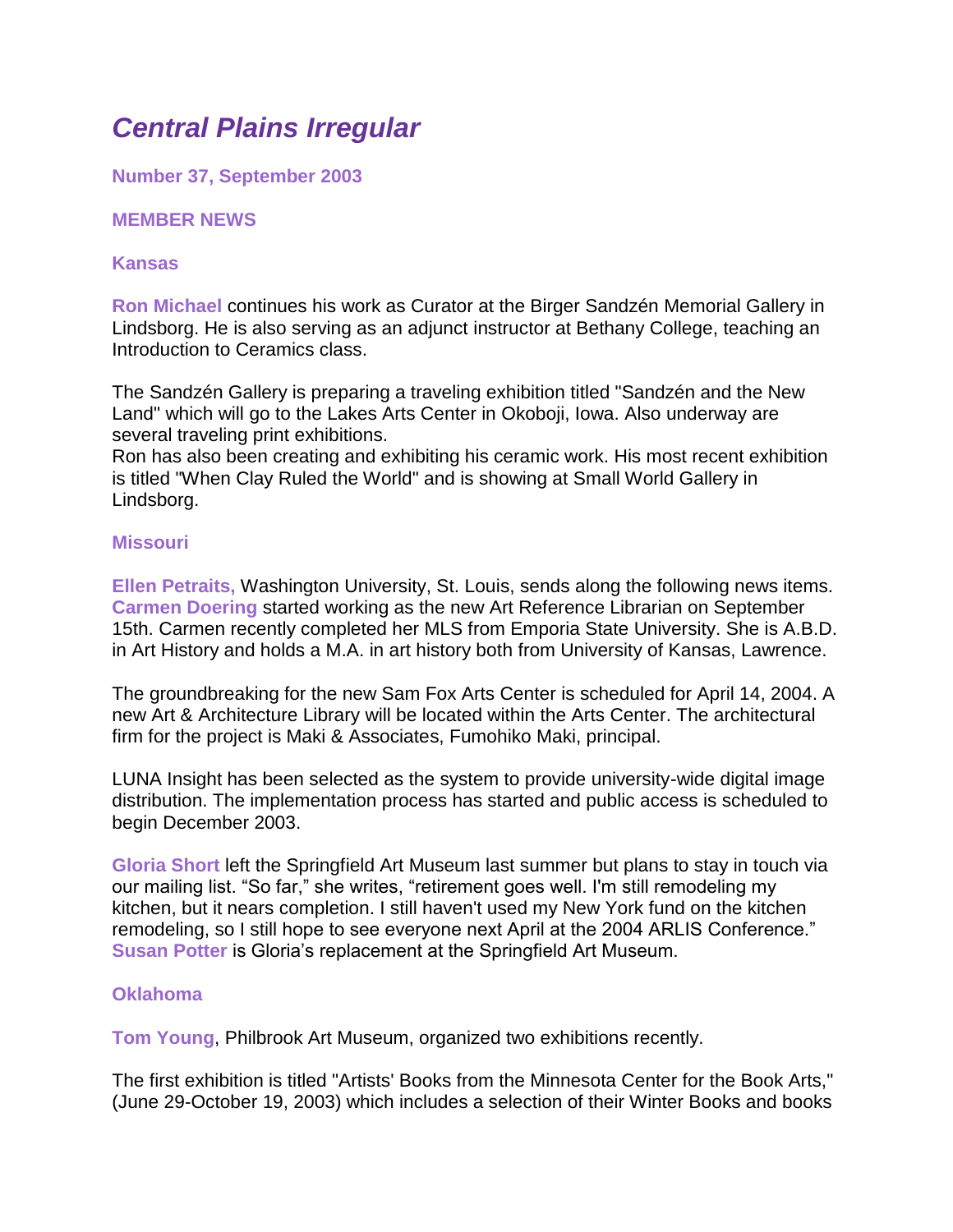# *Central Plains Irregular*

**Number 37, September 2003**

## **MEMBER NEWS**

### **Kansas**

**Ron Michael** continues his work as Curator at the Birger Sandzén Memorial Gallery in Lindsborg. He is also serving as an adjunct instructor at Bethany College, teaching an Introduction to Ceramics class.

The Sandzén Gallery is preparing a traveling exhibition titled "Sandzén and the New Land" which will go to the Lakes Arts Center in Okoboji, Iowa. Also underway are several traveling print exhibitions.

Ron has also been creating and exhibiting his ceramic work. His most recent exhibition is titled "When Clay Ruled the World" and is showing at Small World Gallery in Lindsborg.

### **Missouri**

**Ellen Petraits,** Washington University, St. Louis, sends along the following news items. **Carmen Doering** started working as the new Art Reference Librarian on September 15th. Carmen recently completed her MLS from Emporia State University. She is A.B.D. in Art History and holds a M.A. in art history both from University of Kansas, Lawrence.

The groundbreaking for the new Sam Fox Arts Center is scheduled for April 14, 2004. A new Art & Architecture Library will be located within the Arts Center. The architectural firm for the project is Maki & Associates, Fumohiko Maki, principal.

LUNA Insight has been selected as the system to provide university-wide digital image distribution. The implementation process has started and public access is scheduled to begin December 2003.

**Gloria Short** left the Springfield Art Museum last summer but plans to stay in touch via our mailing list. "So far," she writes, "retirement goes well. I'm still remodeling my kitchen, but it nears completion. I still haven't used my New York fund on the kitchen remodeling, so I still hope to see everyone next April at the 2004 ARLIS Conference." **Susan Potter** is Gloria's replacement at the Springfield Art Museum.

### **Oklahoma**

**Tom Young**, Philbrook Art Museum, organized two exhibitions recently.

The first exhibition is titled "Artists' Books from the Minnesota Center for the Book Arts," (June 29-October 19, 2003) which includes a selection of their Winter Books and books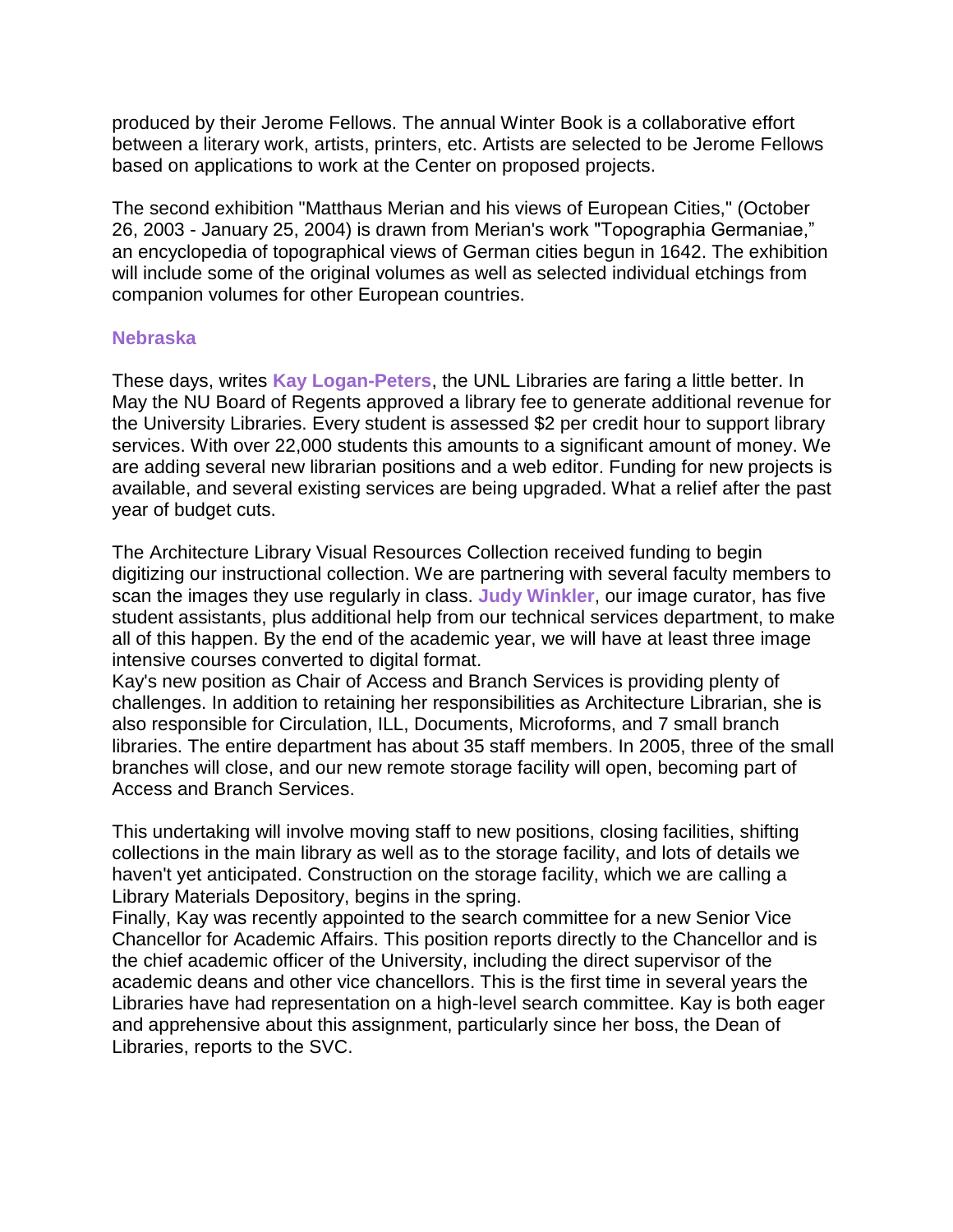produced by their Jerome Fellows. The annual Winter Book is a collaborative effort between a literary work, artists, printers, etc. Artists are selected to be Jerome Fellows based on applications to work at the Center on proposed projects.

The second exhibition "Matthaus Merian and his views of European Cities," (October 26, 2003 - January 25, 2004) is drawn from Merian's work "Topographia Germaniae," an encyclopedia of topographical views of German cities begun in 1642. The exhibition will include some of the original volumes as well as selected individual etchings from companion volumes for other European countries.

#### **Nebraska**

These days, writes **Kay Logan-Peters**, the UNL Libraries are faring a little better. In May the NU Board of Regents approved a library fee to generate additional revenue for the University Libraries. Every student is assessed \$2 per credit hour to support library services. With over 22,000 students this amounts to a significant amount of money. We are adding several new librarian positions and a web editor. Funding for new projects is available, and several existing services are being upgraded. What a relief after the past year of budget cuts.

The Architecture Library Visual Resources Collection received funding to begin digitizing our instructional collection. We are partnering with several faculty members to scan the images they use regularly in class. **Judy Winkler**, our image curator, has five student assistants, plus additional help from our technical services department, to make all of this happen. By the end of the academic year, we will have at least three image intensive courses converted to digital format.

Kay's new position as Chair of Access and Branch Services is providing plenty of challenges. In addition to retaining her responsibilities as Architecture Librarian, she is also responsible for Circulation, ILL, Documents, Microforms, and 7 small branch libraries. The entire department has about 35 staff members. In 2005, three of the small branches will close, and our new remote storage facility will open, becoming part of Access and Branch Services.

This undertaking will involve moving staff to new positions, closing facilities, shifting collections in the main library as well as to the storage facility, and lots of details we haven't yet anticipated. Construction on the storage facility, which we are calling a Library Materials Depository, begins in the spring.

Finally, Kay was recently appointed to the search committee for a new Senior Vice Chancellor for Academic Affairs. This position reports directly to the Chancellor and is the chief academic officer of the University, including the direct supervisor of the academic deans and other vice chancellors. This is the first time in several years the Libraries have had representation on a high-level search committee. Kay is both eager and apprehensive about this assignment, particularly since her boss, the Dean of Libraries, reports to the SVC.